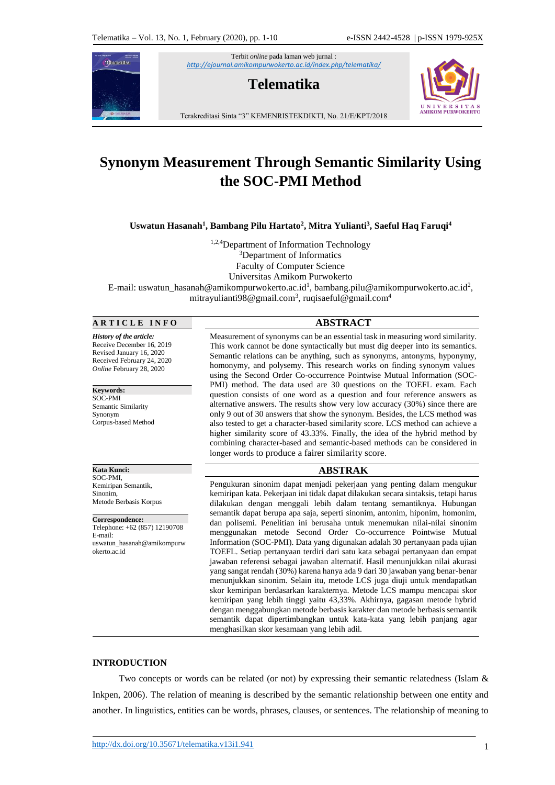

Terbit *online* pada laman web jurnal : *<http://ejournal.amikompurwokerto.ac.id/index.php/telematika/>*

# **Telematika**



Terakreditasi Sinta "3" KEMENRISTEKDIKTI, No. 21/E/KPT/2018

# **Synonym Measurement Through Semantic Similarity Using the SOC-PMI Method**

**Uswatun Hasanah<sup>1</sup> , Bambang Pilu Hartato<sup>2</sup> , Mitra Yulianti<sup>3</sup> , Saeful Haq Faruqi<sup>4</sup>**

<sup>1,2,4</sup>Department of Information Technology <sup>3</sup>Department of Informatics Faculty of Computer Science Universitas Amikom Purwokerto E-mail: uswatun\_hasanah@amikompurwokerto.ac.id<sup>1</sup>, bambang.pilu@amikompurwokerto.ac.id<sup>2</sup>, mitrayulianti98@gmail.com<sup>3</sup>, ruqisaeful@gmail.com<sup>4</sup>

# **A R T I C L E I N F O ABSTRACT**

*History of the article:* Receive December 16, 2019 Revised January 16, 2020 Received February 24, 2020 *Online* February 28, 2020

**Keywords:**  SOC-PMI Semantic Similarity Synonym Corpus-based Method

**Kata Kunci:**  SOC-PMI, Kemiripan Semantik, Sinonim, Metode Berbasis Korpus

**Correspondence:** Telephone: +62 (857) 12190708 E-mail: uswatun\_hasanah@amikompurw okerto.ac.id

Measurement of synonyms can be an essential task in measuring word similarity. This work cannot be done syntactically but must dig deeper into its semantics. Semantic relations can be anything, such as synonyms, antonyms, hyponymy, homonymy, and polysemy. This research works on finding synonym values using the Second Order Co-occurrence Pointwise Mutual Information (SOC-PMI) method. The data used are 30 questions on the TOEFL exam. Each question consists of one word as a question and four reference answers as alternative answers. The results show very low accuracy (30%) since there are only 9 out of 30 answers that show the synonym. Besides, the LCS method was also tested to get a character-based similarity score. LCS method can achieve a higher similarity score of 43.33%. Finally, the idea of the hybrid method by combining character-based and semantic-based methods can be considered in longer words to produce a fairer similarity score.

# **ABSTRAK**

Pengukuran sinonim dapat menjadi pekerjaan yang penting dalam mengukur kemiripan kata. Pekerjaan ini tidak dapat dilakukan secara sintaksis, tetapi harus dilakukan dengan menggali lebih dalam tentang semantiknya. Hubungan semantik dapat berupa apa saja, seperti sinonim, antonim, hiponim, homonim, dan polisemi. Penelitian ini berusaha untuk menemukan nilai-nilai sinonim menggunakan metode Second Order Co-occurrence Pointwise Mutual Information (SOC-PMI). Data yang digunakan adalah 30 pertanyaan pada ujian TOEFL. Setiap pertanyaan terdiri dari satu kata sebagai pertanyaan dan empat jawaban referensi sebagai jawaban alternatif. Hasil menunjukkan nilai akurasi yang sangat rendah (30%) karena hanya ada 9 dari 30 jawaban yang benar-benar menunjukkan sinonim. Selain itu, metode LCS juga diuji untuk mendapatkan skor kemiripan berdasarkan karakternya. Metode LCS mampu mencapai skor kemiripan yang lebih tinggi yaitu 43,33%. Akhirnya, gagasan metode hybrid dengan menggabungkan metode berbasis karakter dan metode berbasis semantik semantik dapat dipertimbangkan untuk kata-kata yang lebih panjang agar menghasilkan skor kesamaan yang lebih adil.

# **INTRODUCTION**

Two concepts or words can be related (or not) by expressing their semantic relatedness (Islam & Inkpen, 2006). The relation of meaning is described by the semantic relationship between one entity and another. In linguistics, entities can be words, phrases, clauses, or sentences. The relationship of meaning to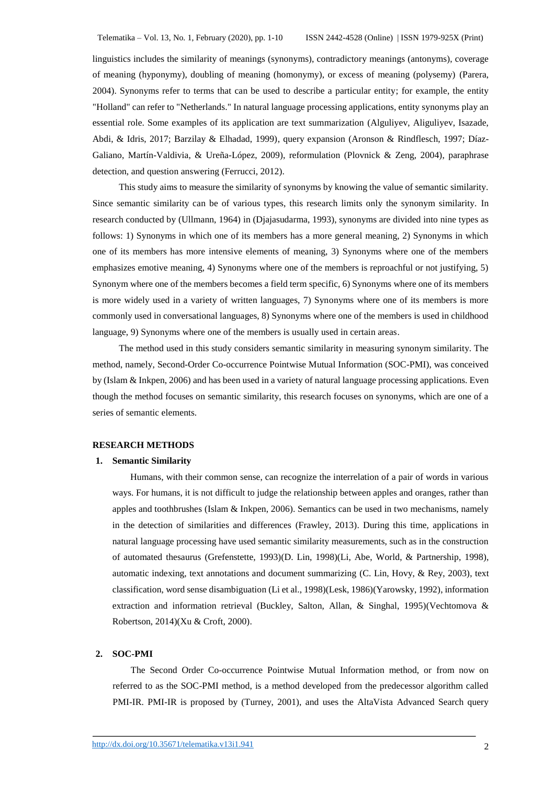linguistics includes the similarity of meanings (synonyms), contradictory meanings (antonyms), coverage of meaning (hyponymy), doubling of meaning (homonymy), or excess of meaning (polysemy) (Parera, 2004). Synonyms refer to terms that can be used to describe a particular entity; for example, the entity "Holland" can refer to "Netherlands." In natural language processing applications, entity synonyms play an essential role. Some examples of its application are text summarization (Alguliyev, Aliguliyev, Isazade, Abdi, & Idris, 2017; Barzilay & Elhadad, 1999), query expansion (Aronson & Rindflesch, 1997; Díaz-Galiano, Martín-Valdivia, & Ureña-López, 2009), reformulation (Plovnick & Zeng, 2004), paraphrase detection, and question answering (Ferrucci, 2012).

This study aims to measure the similarity of synonyms by knowing the value of semantic similarity. Since semantic similarity can be of various types, this research limits only the synonym similarity. In research conducted by (Ullmann, 1964) in (Djajasudarma, 1993), synonyms are divided into nine types as follows: 1) Synonyms in which one of its members has a more general meaning, 2) Synonyms in which one of its members has more intensive elements of meaning, 3) Synonyms where one of the members emphasizes emotive meaning, 4) Synonyms where one of the members is reproachful or not justifying, 5) Synonym where one of the members becomes a field term specific, 6) Synonyms where one of its members is more widely used in a variety of written languages, 7) Synonyms where one of its members is more commonly used in conversational languages, 8) Synonyms where one of the members is used in childhood language, 9) Synonyms where one of the members is usually used in certain areas.

The method used in this study considers semantic similarity in measuring synonym similarity. The method, namely, Second-Order Co-occurrence Pointwise Mutual Information (SOC-PMI), was conceived by (Islam & Inkpen, 2006) and has been used in a variety of natural language processing applications. Even though the method focuses on semantic similarity, this research focuses on synonyms, which are one of a series of semantic elements.

# **RESEARCH METHODS**

#### **1. Semantic Similarity**

Humans, with their common sense, can recognize the interrelation of a pair of words in various ways. For humans, it is not difficult to judge the relationship between apples and oranges, rather than apples and toothbrushes (Islam & Inkpen, 2006). Semantics can be used in two mechanisms, namely in the detection of similarities and differences (Frawley, 2013). During this time, applications in natural language processing have used semantic similarity measurements, such as in the construction of automated thesaurus (Grefenstette, 1993)(D. Lin, 1998)(Li, Abe, World, & Partnership, 1998), automatic indexing, text annotations and document summarizing (C. Lin, Hovy, & Rey, 2003), text classification, word sense disambiguation (Li et al., 1998)(Lesk, 1986)(Yarowsky, 1992), information extraction and information retrieval (Buckley, Salton, Allan, & Singhal, 1995)(Vechtomova & Robertson, 2014)(Xu & Croft, 2000).

# **2. SOC-PMI**

The Second Order Co-occurrence Pointwise Mutual Information method, or from now on referred to as the SOC-PMI method, is a method developed from the predecessor algorithm called PMI-IR. PMI-IR is proposed by (Turney, 2001), and uses the AltaVista Advanced Search query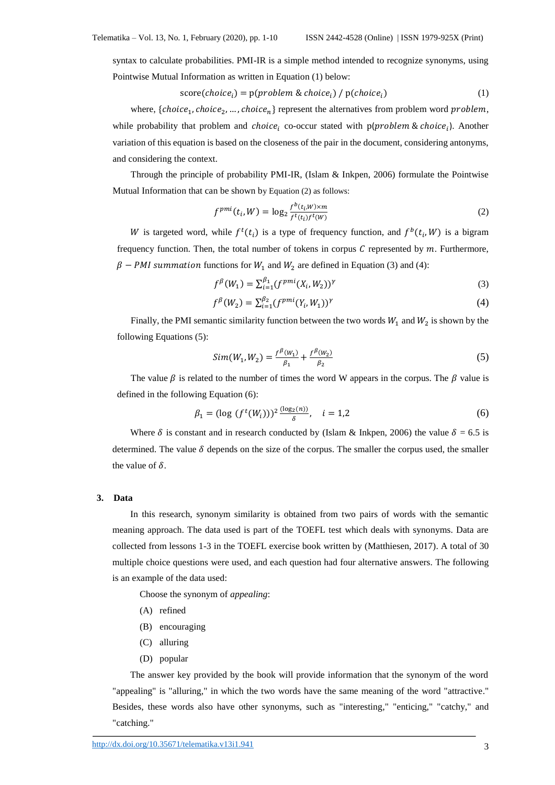syntax to calculate probabilities. PMI-IR is a simple method intended to recognize synonyms, using Pointwise Mutual Information as written in Equation (1) below:

$$
score(choicei) = p(problem & choicei) / p(choicei)
$$
\n(1)

where,  ${choice_1, choice_2, ..., choice_n}$  represent the alternatives from problem word problem, while probability that problem and *choice*<sub>i</sub> co-occur stated with  $p$ (*problem & choice*<sub>i</sub>). Another variation of this equation is based on the closeness of the pair in the document, considering antonyms, and considering the context.

Through the principle of probability PMI-IR, (Islam & Inkpen, 2006) formulate the Pointwise Mutual Information that can be shown by Equation (2) as follows:

$$
f^{pmi}(t_i, W) = \log_2 \frac{f^b(t_i, W) \times m}{f^t(t_i) f^t(W)}
$$
\n
$$
\tag{2}
$$

W is targeted word, while  $f^t(t_i)$  is a type of frequency function, and  $f^b(t_i, W)$  is a bigram frequency function. Then, the total number of tokens in corpus  $C$  represented by  $m$ . Furthermore,  $\beta$  – PMI summation functions for  $W_1$  and  $W_2$  are defined in Equation (3) and (4):

$$
f^{\beta}(W_1) = \sum_{i=1}^{\beta_1} (f^{pmi}(X_i, W_2))^{\gamma}
$$
 (3)

$$
f^{\beta}(W_2) = \sum_{i=1}^{\beta_2} (f^{pmi}(Y_i, W_1))^{\gamma}
$$
 (4)

Finally, the PMI semantic similarity function between the two words  $W_1$  and  $W_2$  is shown by the following Equations (5):

$$
Sim(W_1, W_2) = \frac{f^{\beta}(W_1)}{\beta_1} + \frac{f^{\beta}(W_2)}{\beta_2}
$$
\n(5)

The value  $\beta$  is related to the number of times the word W appears in the corpus. The  $\beta$  value is defined in the following Equation (6):

$$
\beta_1 = (\log (f^t(W_i)))^2 \frac{(\log_2(n))}{\delta}, \quad i = 1, 2
$$
\n(6)

Where  $\delta$  is constant and in research conducted by (Islam & Inkpen, 2006) the value  $\delta = 6.5$  is determined. The value  $\delta$  depends on the size of the corpus. The smaller the corpus used, the smaller the value of  $\delta$ .

# **3. Data**

In this research, synonym similarity is obtained from two pairs of words with the semantic meaning approach. The data used is part of the TOEFL test which deals with synonyms. Data are collected from lessons 1-3 in the TOEFL exercise book written by (Matthiesen, 2017). A total of 30 multiple choice questions were used, and each question had four alternative answers. The following is an example of the data used:

Choose the synonym of *appealing*:

- (A) refined
- (B) encouraging
- (C) alluring
- (D) popular

The answer key provided by the book will provide information that the synonym of the word "appealing" is "alluring," in which the two words have the same meaning of the word "attractive." Besides, these words also have other synonyms, such as "interesting," "enticing," "catchy," and "catching."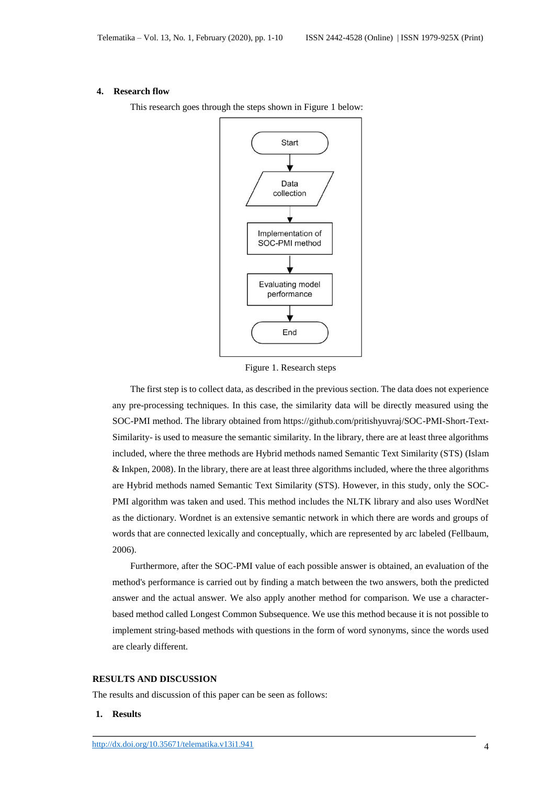#### **4. Research flow**



This research goes through the steps shown in Figure 1 below:

Figure 1. Research steps

The first step is to collect data, as described in the previous section. The data does not experience any pre-processing techniques. In this case, the similarity data will be directly measured using the SOC-PMI method. The library obtained from https://github.com/pritishyuvraj/SOC-PMI-Short-Text-Similarity- is used to measure the semantic similarity. In the library, there are at least three algorithms included, where the three methods are Hybrid methods named Semantic Text Similarity (STS) (Islam & Inkpen, 2008). In the library, there are at least three algorithms included, where the three algorithms are Hybrid methods named Semantic Text Similarity (STS). However, in this study, only the SOC-PMI algorithm was taken and used. This method includes the NLTK library and also uses WordNet as the dictionary. Wordnet is an extensive semantic network in which there are words and groups of words that are connected lexically and conceptually, which are represented by arc labeled (Fellbaum, 2006).

Furthermore, after the SOC-PMI value of each possible answer is obtained, an evaluation of the method's performance is carried out by finding a match between the two answers, both the predicted answer and the actual answer. We also apply another method for comparison. We use a characterbased method called Longest Common Subsequence. We use this method because it is not possible to implement string-based methods with questions in the form of word synonyms, since the words used are clearly different.

# **RESULTS AND DISCUSSION**

The results and discussion of this paper can be seen as follows:

# **1. Results**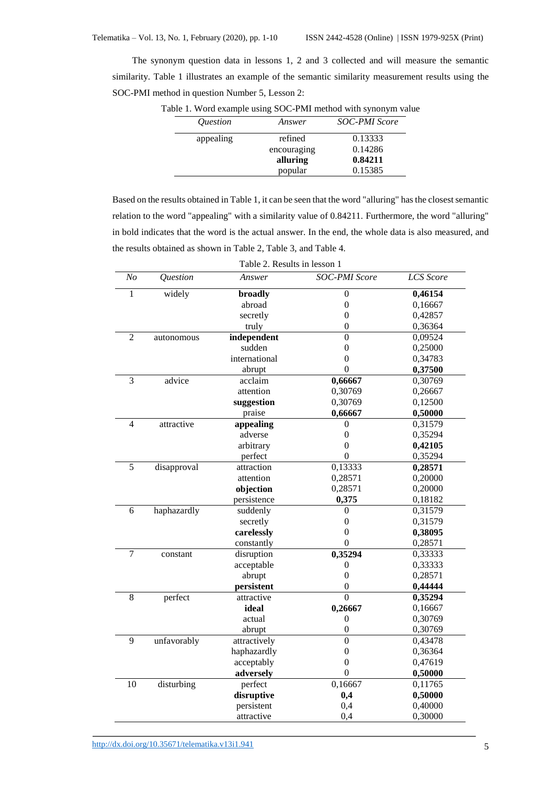The synonym question data in lessons 1, 2 and 3 collected and will measure the semantic similarity. Table 1 illustrates an example of the semantic similarity measurement results using the SOC-PMI method in question Number 5, Lesson 2:

| <i><u><b>Ouestion</b></u></i> | Answer      | <b>SOC-PMI Score</b> |
|-------------------------------|-------------|----------------------|
| appealing                     | refined     | 0.13333              |
|                               | encouraging | 0.14286              |
|                               | alluring    | 0.84211              |
|                               | popular     | 0.15385              |

Table 1. Word example using SOC-PMI method with synonym value

Based on the results obtained in Table 1, it can be seen that the word "alluring" has the closest semantic relation to the word "appealing" with a similarity value of 0.84211. Furthermore, the word "alluring" in bold indicates that the word is the actual answer. In the end, the whole data is also measured, and the results obtained as shown in Table 2, Table 3, and Table 4.

| N <sub>O</sub> | Question    | Answer        | <b>SOC-PMI</b> Score | <b>LCS</b> Score |  |  |
|----------------|-------------|---------------|----------------------|------------------|--|--|
| $\mathbf{1}$   | widely      | broadly       | $\boldsymbol{0}$     | 0,46154          |  |  |
|                |             | abroad        | $\boldsymbol{0}$     | 0,16667          |  |  |
|                |             | secretly      | $\overline{0}$       | 0,42857          |  |  |
|                |             | truly         | $\boldsymbol{0}$     | 0,36364          |  |  |
| $\overline{2}$ | autonomous  | independent   | $\overline{0}$       | 0,09524          |  |  |
|                |             | sudden        | $\overline{0}$       | 0,25000          |  |  |
|                |             | international | $\overline{0}$       | 0,34783          |  |  |
|                |             | abrupt        | $\overline{0}$       | 0,37500          |  |  |
| 3              | advice      | acclaim       | 0,66667              | 0,30769          |  |  |
|                |             | attention     | 0,30769              | 0,26667          |  |  |
|                |             | suggestion    | 0,30769              | 0,12500          |  |  |
|                |             | praise        | 0,66667              | 0,50000          |  |  |
| $\overline{4}$ | attractive  | appealing     | 0                    | 0,31579          |  |  |
|                |             | adverse       | $\boldsymbol{0}$     | 0,35294          |  |  |
|                |             | arbitrary     | $\overline{0}$       | 0,42105          |  |  |
|                |             | perfect       | $\overline{0}$       | 0,35294          |  |  |
| 5              | disapproval | attraction    | 0,13333              | 0,28571          |  |  |
|                |             | attention     | 0,28571              | 0,20000          |  |  |
|                |             | objection     | 0,28571              | 0,20000          |  |  |
|                |             | persistence   | 0,375                | 0,18182          |  |  |
| 6              | haphazardly | suddenly      | 0                    | 0,31579          |  |  |
|                |             | secretly      | $\boldsymbol{0}$     | 0,31579          |  |  |
|                |             | carelessly    | $\overline{0}$       | 0,38095          |  |  |
|                |             | constantly    | $\overline{0}$       | 0,28571          |  |  |
| 7              | constant    | disruption    | 0,35294              | 0,33333          |  |  |
|                |             | acceptable    | 0                    | 0,33333          |  |  |
|                |             | abrupt        | $\overline{0}$       | 0,28571          |  |  |
|                |             | persistent    | $\theta$             | 0,44444          |  |  |
| 8              | perfect     | attractive    | $\overline{0}$       | 0,35294          |  |  |
|                |             | ideal         | 0,26667              | 0,16667          |  |  |
|                |             | actual        | $\overline{0}$       | 0,30769          |  |  |
|                |             | abrupt        | $\boldsymbol{0}$     | 0,30769          |  |  |
| 9              | unfavorably | attractively  | $\theta$             | 0,43478          |  |  |
|                |             | haphazardly   | $\overline{0}$       | 0,36364          |  |  |
|                |             | acceptably    | $\overline{0}$       | 0,47619          |  |  |
|                |             | adversely     | $\overline{0}$       | 0,50000          |  |  |
| 10             | disturbing  | perfect       | 0,16667              | 0,11765          |  |  |
|                |             | disruptive    | 0,4                  | 0,50000          |  |  |
|                |             | persistent    | 0,4                  | 0,40000          |  |  |
|                |             | attractive    | 0,4                  | 0,30000          |  |  |

Table 2. Results in lesson 1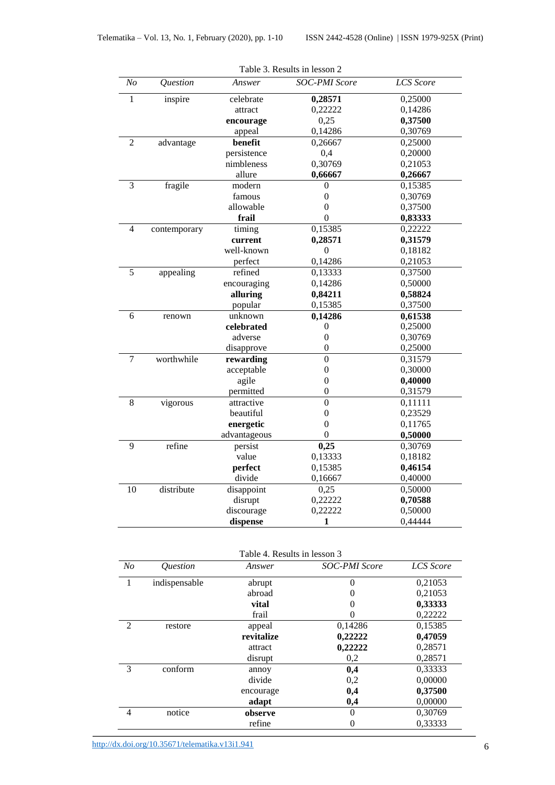| N <sub>O</sub> | Question     | Answer       | Table 5. Results in lesson $\angle$<br><b>SOC-PMI</b> Score | <b>LCS</b> Score |
|----------------|--------------|--------------|-------------------------------------------------------------|------------------|
| $\mathbf{1}$   | inspire      | celebrate    | 0,28571                                                     | 0,25000          |
|                |              | attract      | 0,22222                                                     | 0,14286          |
|                |              | encourage    | 0,25                                                        | 0,37500          |
|                |              | appeal       | 0,14286                                                     | 0,30769          |
| $\overline{2}$ | advantage    | benefit      | 0,26667                                                     | 0,25000          |
|                |              | persistence  | 0,4                                                         | 0,20000          |
|                |              | nimbleness   | 0,30769                                                     | 0,21053          |
|                |              | allure       | 0,66667                                                     | 0,26667          |
| $\overline{3}$ | fragile      | modern       | 0                                                           | 0,15385          |
|                |              | famous       | $\overline{0}$                                              | 0,30769          |
|                |              | allowable    | $\theta$                                                    | 0,37500          |
|                |              | frail        | $\overline{0}$                                              | 0,83333          |
| 4              | contemporary | timing       | 0,15385                                                     | 0,22222          |
|                |              | current      | 0,28571                                                     | 0,31579          |
|                |              | well-known   | $\overline{0}$                                              | 0,18182          |
|                |              | perfect      | 0,14286                                                     | 0,21053          |
| 5              | appealing    | refined      | 0,13333                                                     | 0,37500          |
|                |              | encouraging  | 0,14286                                                     | 0,50000          |
|                |              | alluring     | 0,84211                                                     | 0,58824          |
|                |              | popular      | 0,15385                                                     | 0,37500          |
| 6              | renown       | unknown      | 0,14286                                                     | 0,61538          |
|                |              | celebrated   | 0                                                           | 0,25000          |
|                |              | adverse      | $\overline{0}$                                              | 0,30769          |
|                |              | disapprove   | $\boldsymbol{0}$                                            | 0,25000          |
| $\overline{7}$ | worthwhile   | rewarding    | $\mathbf{0}$                                                | 0,31579          |
|                |              | acceptable   | $\boldsymbol{0}$                                            | 0,30000          |
|                |              | agile        | $\overline{0}$                                              | 0,40000          |
|                |              | permitted    | $\overline{0}$                                              | 0,31579          |
| 8              | vigorous     | attractive   | $\overline{0}$                                              | 0,11111          |
|                |              | beautiful    | $\overline{0}$                                              | 0,23529          |
|                |              | energetic    | $\overline{0}$                                              | 0,11765          |
|                |              | advantageous | $\overline{0}$                                              | 0,50000          |
| 9              | refine       | persist      | 0,25                                                        | 0,30769          |
|                |              | value        | 0,13333                                                     | 0,18182          |
|                |              | perfect      | 0,15385                                                     | 0,46154          |
|                |              | divide       | 0,16667                                                     | 0,40000          |
| 10             | distribute   | disappoint   | 0,25                                                        | 0,50000          |
|                |              | disrupt      | 0,22222                                                     | 0,70588          |
|                |              | discourage   | 0,22222                                                     | 0,50000          |
|                |              | dispense     | 1                                                           | 0,44444          |

Table 3. Results in lesson 2

| N <sub>O</sub> | <i><u><b>Ouestion</b></u></i> | Answer     | <b>SOC-PMI Score</b> | <b>LCS</b> Score |
|----------------|-------------------------------|------------|----------------------|------------------|
| 1              | indispensable                 | abrupt     | 0                    | 0,21053          |
|                |                               | abroad     | $\theta$             | 0,21053          |
|                |                               | vital      | $\Omega$             | 0,33333          |
|                |                               | frail      | 0                    | 0,22222          |
| 2              | restore                       | appeal     | 0,14286              | 0,15385          |
|                |                               | revitalize | 0,22222              | 0,47059          |
|                |                               | attract    | 0,22222              | 0,28571          |
|                |                               | disrupt    | 0,2                  | 0,28571          |
| 3              | conform                       | annoy      | 0,4                  | 0,33333          |
|                |                               | divide     | 0,2                  | 0,00000          |
|                |                               | encourage  | 0,4                  | 0,37500          |
|                |                               | adapt      | 0,4                  | 0,00000          |
| $\overline{4}$ | notice                        | observe    | 0                    | 0,30769          |
|                |                               | refine     | 0                    | 0,33333          |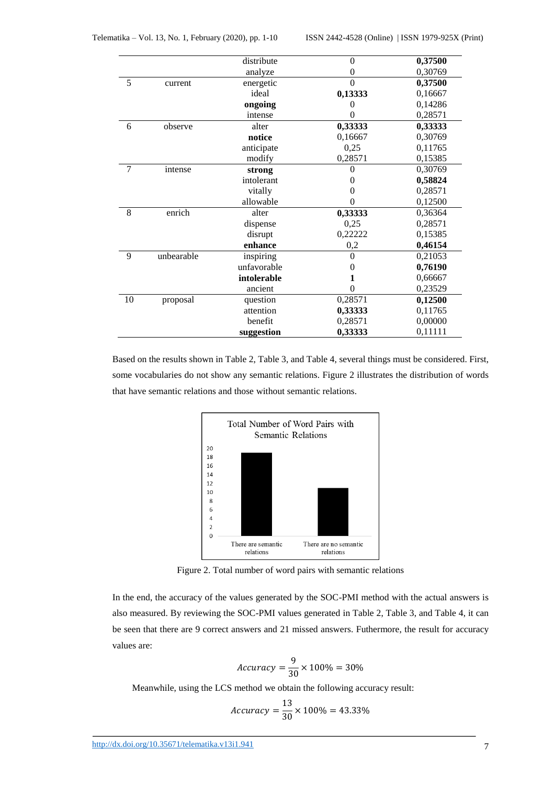|    |            | distribute  | $\overline{0}$ | 0,37500 |
|----|------------|-------------|----------------|---------|
|    |            | analyze     | $\overline{0}$ | 0,30769 |
| 5  | current    | energetic   | $\theta$       | 0,37500 |
|    |            | ideal       | 0,13333        | 0,16667 |
|    |            | ongoing     | 0              | 0,14286 |
|    |            | intense     |                | 0,28571 |
| 6  | observe    | alter       | 0,33333        | 0,33333 |
|    |            | notice      | 0,16667        | 0,30769 |
|    |            | anticipate  | 0,25           | 0,11765 |
|    |            | modify      | 0,28571        | 0,15385 |
| 7  | intense    | strong      | $\theta$       | 0,30769 |
|    |            | intolerant  | 0              | 0,58824 |
|    |            | vitally     | 0              | 0,28571 |
|    |            | allowable   | $\overline{0}$ | 0,12500 |
| 8  | enrich     | alter       | 0,33333        | 0,36364 |
|    |            | dispense    | 0,25           | 0,28571 |
|    |            | disrupt     | 0,22222        | 0,15385 |
|    |            | enhance     | 0,2            | 0,46154 |
| 9  | unbearable | inspiring   | $\theta$       | 0,21053 |
|    |            | unfavorable | 0              | 0,76190 |
|    |            | intolerable | 1              | 0,66667 |
|    |            | ancient     | $\theta$       | 0,23529 |
| 10 | proposal   | question    | 0,28571        | 0,12500 |
|    |            | attention   | 0,33333        | 0,11765 |
|    |            | benefit     | 0,28571        | 0,00000 |
|    |            | suggestion  | 0,33333        | 0,11111 |

Based on the results shown in Table 2, Table 3, and Table 4, several things must be considered. First, some vocabularies do not show any semantic relations. Figure 2 illustrates the distribution of words that have semantic relations and those without semantic relations.



Figure 2. Total number of word pairs with semantic relations

In the end, the accuracy of the values generated by the SOC-PMI method with the actual answers is also measured. By reviewing the SOC-PMI values generated in Table 2, Table 3, and Table 4, it can be seen that there are 9 correct answers and 21 missed answers. Futhermore, the result for accuracy values are:

$$
Accuracy = \frac{9}{30} \times 100\% = 30\%
$$

Meanwhile, using the LCS method we obtain the following accuracy result:

$$
Accuracy = \frac{13}{30} \times 100\% = 43.33\%
$$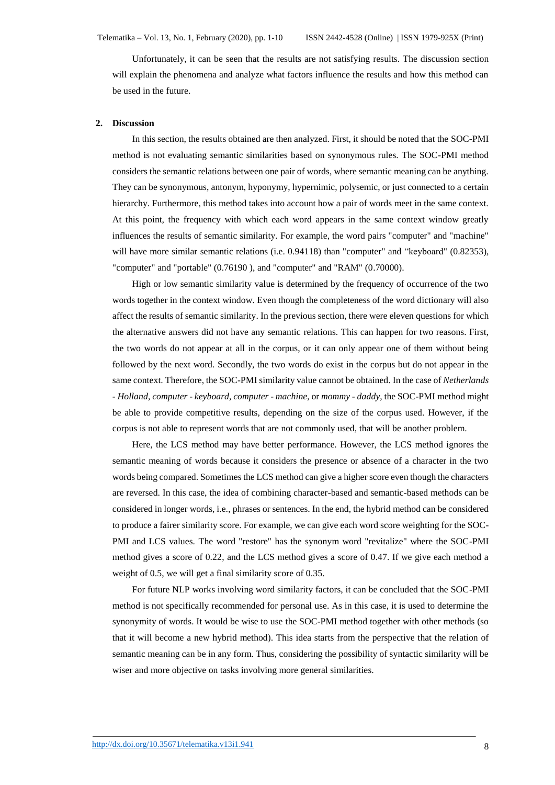Unfortunately, it can be seen that the results are not satisfying results. The discussion section will explain the phenomena and analyze what factors influence the results and how this method can be used in the future.

#### **2. Discussion**

In this section, the results obtained are then analyzed. First, it should be noted that the SOC-PMI method is not evaluating semantic similarities based on synonymous rules. The SOC-PMI method considers the semantic relations between one pair of words, where semantic meaning can be anything. They can be synonymous, antonym, hyponymy, hypernimic, polysemic, or just connected to a certain hierarchy. Furthermore, this method takes into account how a pair of words meet in the same context. At this point, the frequency with which each word appears in the same context window greatly influences the results of semantic similarity. For example, the word pairs "computer" and "machine" will have more similar semantic relations (i.e. 0.94118) than "computer" and "keyboard" (0.82353), "computer" and "portable" (0.76190 ), and "computer" and "RAM" (0.70000).

High or low semantic similarity value is determined by the frequency of occurrence of the two words together in the context window. Even though the completeness of the word dictionary will also affect the results of semantic similarity. In the previous section, there were eleven questions for which the alternative answers did not have any semantic relations. This can happen for two reasons. First, the two words do not appear at all in the corpus, or it can only appear one of them without being followed by the next word. Secondly, the two words do exist in the corpus but do not appear in the same context. Therefore, the SOC-PMI similarity value cannot be obtained. In the case of *Netherlands - Holland*, *computer - keyboard*, *computer - machine*, or *mommy - daddy*, the SOC-PMI method might be able to provide competitive results, depending on the size of the corpus used. However, if the corpus is not able to represent words that are not commonly used, that will be another problem.

Here, the LCS method may have better performance. However, the LCS method ignores the semantic meaning of words because it considers the presence or absence of a character in the two words being compared. Sometimes the LCS method can give a higher score even though the characters are reversed. In this case, the idea of combining character-based and semantic-based methods can be considered in longer words, i.e., phrases or sentences. In the end, the hybrid method can be considered to produce a fairer similarity score. For example, we can give each word score weighting for the SOC-PMI and LCS values. The word "restore" has the synonym word "revitalize" where the SOC-PMI method gives a score of 0.22, and the LCS method gives a score of 0.47. If we give each method a weight of 0.5, we will get a final similarity score of 0.35.

For future NLP works involving word similarity factors, it can be concluded that the SOC-PMI method is not specifically recommended for personal use. As in this case, it is used to determine the synonymity of words. It would be wise to use the SOC-PMI method together with other methods (so that it will become a new hybrid method). This idea starts from the perspective that the relation of semantic meaning can be in any form. Thus, considering the possibility of syntactic similarity will be wiser and more objective on tasks involving more general similarities.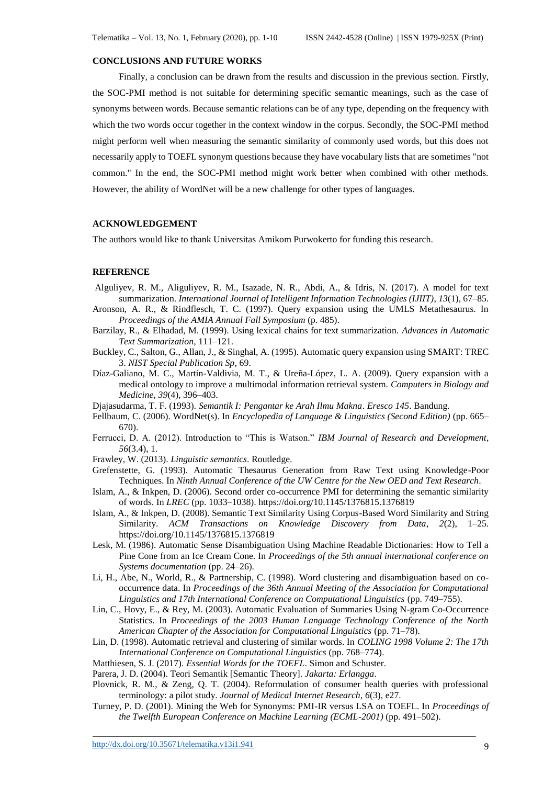# **CONCLUSIONS AND FUTURE WORKS**

Finally, a conclusion can be drawn from the results and discussion in the previous section. Firstly, the SOC-PMI method is not suitable for determining specific semantic meanings, such as the case of synonyms between words. Because semantic relations can be of any type, depending on the frequency with which the two words occur together in the context window in the corpus. Secondly, the SOC-PMI method might perform well when measuring the semantic similarity of commonly used words, but this does not necessarily apply to TOEFL synonym questions because they have vocabulary lists that are sometimes "not common." In the end, the SOC-PMI method might work better when combined with other methods. However, the ability of WordNet will be a new challenge for other types of languages.

# **ACKNOWLEDGEMENT**

The authors would like to thank Universitas Amikom Purwokerto for funding this research.

# **REFERENCE**

- Alguliyev, R. M., Aliguliyev, R. M., Isazade, N. R., Abdi, A., & Idris, N. (2017). A model for text summarization. *International Journal of Intelligent Information Technologies (IJIIT)*, *13*(1), 67–85.
- Aronson, A. R., & Rindflesch, T. C. (1997). Query expansion using the UMLS Metathesaurus. In *Proceedings of the AMIA Annual Fall Symposium* (p. 485).
- Barzilay, R., & Elhadad, M. (1999). Using lexical chains for text summarization. *Advances in Automatic Text Summarization*, 111–121.
- Buckley, C., Salton, G., Allan, J., & Singhal, A. (1995). Automatic query expansion using SMART: TREC 3. *NIST Special Publication Sp*, 69.
- Díaz-Galiano, M. C., Martín-Valdivia, M. T., & Ureña-López, L. A. (2009). Query expansion with a medical ontology to improve a multimodal information retrieval system. *Computers in Biology and Medicine*, *39*(4), 396–403.
- Djajasudarma, T. F. (1993). *Semantik I: Pengantar ke Arah Ilmu Makna*. *Eresco 145*. Bandung.
- Fellbaum, C. (2006). WordNet(s). In *Encyclopedia of Language & Linguistics (Second Edition)* (pp. 665– 670).
- Ferrucci, D. A. (2012). Introduction to "This is Watson." *IBM Journal of Research and Development*, *56*(3.4), 1.
- Frawley, W. (2013). *Linguistic semantics*. Routledge.
- Grefenstette, G. (1993). Automatic Thesaurus Generation from Raw Text using Knowledge-Poor Techniques. In *Ninth Annual Conference of the UW Centre for the New OED and Text Research*.
- Islam, A., & Inkpen, D. (2006). Second order co-occurrence PMI for determining the semantic similarity of words. In *LREC* (pp. 1033–1038). https://doi.org/10.1145/1376815.1376819
- Islam, A., & Inkpen, D. (2008). Semantic Text Similarity Using Corpus-Based Word Similarity and String Similarity. *ACM Transactions on Knowledge Discovery from Data*, *2*(2), 1–25. https://doi.org/10.1145/1376815.1376819
- Lesk, M. (1986). Automatic Sense Disambiguation Using Machine Readable Dictionaries: How to Tell a Pine Cone from an Ice Cream Cone. In *Proceedings of the 5th annual international conference on Systems documentation* (pp. 24–26).
- Li, H., Abe, N., World, R., & Partnership, C. (1998). Word clustering and disambiguation based on cooccurrence data. In *Proceedings of the 36th Annual Meeting of the Association for Computational Linguistics and 17th International Conference on Computational Linguistics* (pp. 749–755).
- Lin, C., Hovy, E., & Rey, M. (2003). Automatic Evaluation of Summaries Using N-gram Co-Occurrence Statistics. In *Proceedings of the 2003 Human Language Technology Conference of the North American Chapter of the Association for Computational Linguistics* (pp. 71–78).
- Lin, D. (1998). Automatic retrieval and clustering of similar words. In *COLING 1998 Volume 2: The 17th International Conference on Computational Linguistics* (pp. 768–774).
- Matthiesen, S. J. (2017). *Essential Words for the TOEFL*. Simon and Schuster.
- Parera, J. D. (2004). Teori Semantik [Semantic Theory]. *Jakarta: Erlangga*.
- Plovnick, R. M., & Zeng, Q. T. (2004). Reformulation of consumer health queries with professional terminology: a pilot study. *Journal of Medical Internet Research*, *6*(3), e27.
- Turney, P. D. (2001). Mining the Web for Synonyms: PMI-IR versus LSA on TOEFL. In *Proceedings of the Twelfth European Conference on Machine Learning (ECML-2001)* (pp. 491–502).